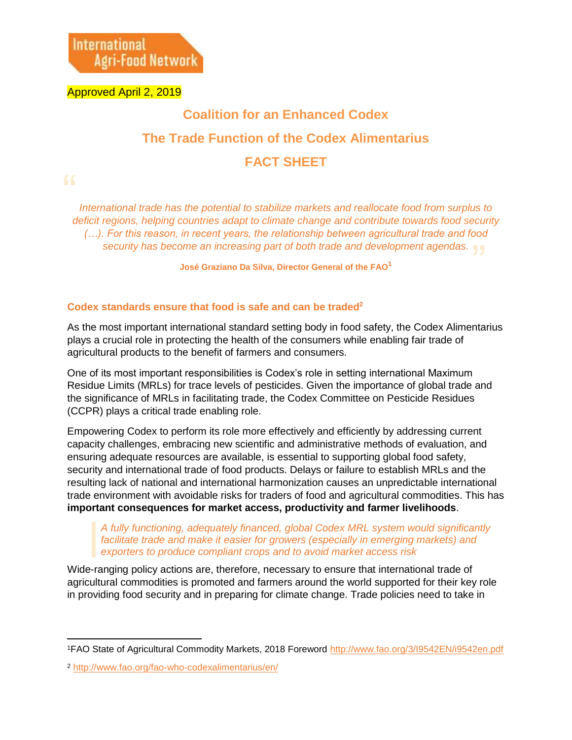Approved April 2, 2019

## **Coalition for an Enhanced Codex The Trade Function of the Codex Alimentarius FACT SHEET**

security has become an increasing part of both trade and development agendas.<br>José Graziano Da Silva, Director General of the FAO<sup>1</sup> *International trade has the potential to stabilize markets and reallocate food from surplus to deficit regions, helping countries adapt to climate change and contribute towards food security (…). For this reason, in recent years, the relationship between agricultural trade and food* 

**José Graziano Da Silva, Director General of the FAO<sup>1</sup>**

## **Codex standards ensure that food is safe and can be traded<sup>2</sup>**

As the most important international standard setting body in food safety, the Codex Alimentarius plays a crucial role in protecting the health of the consumers while enabling fair trade of agricultural products to the benefit of farmers and consumers.

One of its most important responsibilities is Codex's role in setting international Maximum Residue Limits (MRLs) for trace levels of pesticides. Given the importance of global trade and the significance of MRLs in facilitating trade, the Codex Committee on Pesticide Residues (CCPR) plays a critical trade enabling role.

Empowering Codex to perform its role more effectively and efficiently by addressing current capacity challenges, embracing new scientific and administrative methods of evaluation, and ensuring adequate resources are available, is essential to supporting global food safety, security and international trade of food products. Delays or failure to establish MRLs and the resulting lack of national and international harmonization causes an unpredictable international trade environment with avoidable risks for traders of food and agricultural commodities. This has **important consequences for market access, productivity and farmer livelihoods**.

*A fully functioning, adequately financed, global Codex MRL system would significantly*  facilitate trade and make it easier for growers (especially in emerging markets) and *exporters to produce compliant crops and to avoid market access risk*

Wide-ranging policy actions are, therefore, necessary to ensure that international trade of agricultural commodities is promoted and farmers around the world supported for their key role in providing food security and in preparing for climate change. Trade policies need to take in

 $\overline{a}$ <sup>1</sup>FAO State of Agricultural Commodity Markets, 2018 Foreword<http://www.fao.org/3/I9542EN/i9542en.pdf>

<sup>2</sup> <http://www.fao.org/fao-who-codexalimentarius/en/>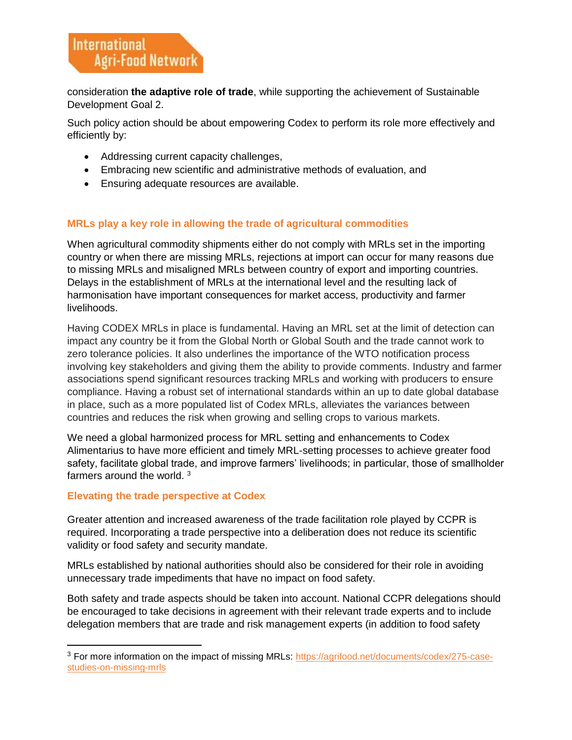consideration **the adaptive role of trade**, while supporting the achievement of Sustainable Development Goal 2.

Such policy action should be about empowering Codex to perform its role more effectively and efficiently by:

- Addressing current capacity challenges,
- Embracing new scientific and administrative methods of evaluation, and
- Ensuring adequate resources are available.

## **MRLs play a key role in allowing the trade of agricultural commodities**

When agricultural commodity shipments either do not comply with MRLs set in the importing country or when there are missing MRLs, rejections at import can occur for many reasons due to missing MRLs and misaligned MRLs between country of export and importing countries. Delays in the establishment of MRLs at the international level and the resulting lack of harmonisation have important consequences for market access, productivity and farmer livelihoods.

Having CODEX MRLs in place is fundamental. Having an MRL set at the limit of detection can impact any country be it from the Global North or Global South and the trade cannot work to zero tolerance policies. It also underlines the importance of the WTO notification process involving key stakeholders and giving them the ability to provide comments. Industry and farmer associations spend significant resources tracking MRLs and working with producers to ensure compliance. Having a robust set of international standards within an up to date global database in place, such as a more populated list of Codex MRLs, alleviates the variances between countries and reduces the risk when growing and selling crops to various markets.

We need a global harmonized process for MRL setting and enhancements to Codex Alimentarius to have more efficient and timely MRL-setting processes to achieve greater food safety, facilitate global trade, and improve farmers' livelihoods; in particular, those of smallholder farmers around the world. <sup>3</sup>

## **Elevating the trade perspective at Codex**

l

Greater attention and increased awareness of the trade facilitation role played by CCPR is required. Incorporating a trade perspective into a deliberation does not reduce its scientific validity or food safety and security mandate.

MRLs established by national authorities should also be considered for their role in avoiding unnecessary trade impediments that have no impact on food safety.

Both safety and trade aspects should be taken into account. National CCPR delegations should be encouraged to take decisions in agreement with their relevant trade experts and to include delegation members that are trade and risk management experts (in addition to food safety

<sup>&</sup>lt;sup>3</sup> For more information on the impact of missing MRLs: [https://agrifood.net/documents/codex/275-case](https://agrifood.net/documents/codex/275-case-studies-on-missing-mrls)[studies-on-missing-mrls](https://agrifood.net/documents/codex/275-case-studies-on-missing-mrls)